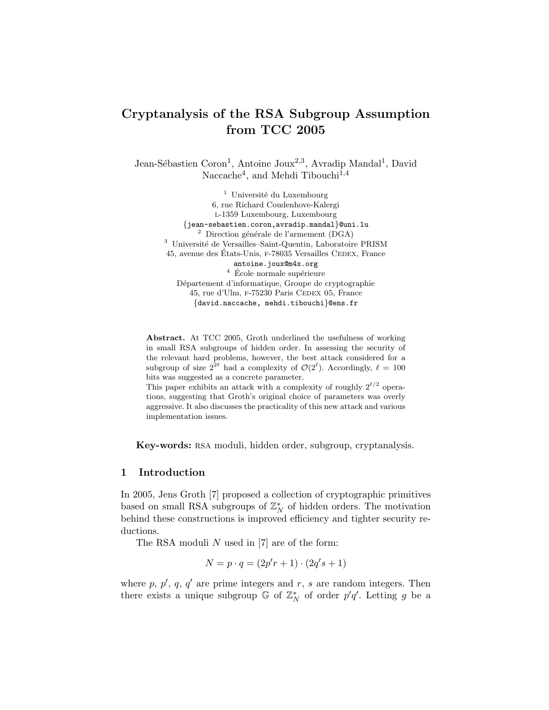# Cryptanalysis of the RSA Subgroup Assumption from TCC 2005

Jean-Sébastien Coron<sup>1</sup>, Antoine Joux<sup>2,3</sup>, Avradip Mandal<sup>1</sup>, David Naccache<sup>4</sup>, and Mehdi Tibouchi<sup>1,4</sup>

> $1$  Université du Luxembourg 6, rue Richard Coudenhove-Kalergi l-1359 Luxembourg, Luxembourg {jean-sebastien.coron,avradip.mandal}@uni.lu  $^{\rm 2}$  Direction générale de l'armement (DGA) <sup>3</sup> Université de Versailles–Saint-Quentin, Laboratoire PRISM 45, avenue des États-Unis, F-78035 Versailles CEDEX, France antoine.joux@m4x.org  $^4\,$  École normale supérieure Département d'informatique, Groupe de cryptographie 45, rue d'Ulm, F-75230 Paris CEDEX 05, France {david.naccache, mehdi.tibouchi}@ens.fr

Abstract. At TCC 2005, Groth underlined the usefulness of working in small RSA subgroups of hidden order. In assessing the security of the relevant hard problems, however, the best attack considered for a subgroup of size  $2^{2\ell}$  had a complexity of  $\mathcal{O}(2^{\ell})$ . Accordingly,  $\ell = 100$ bits was suggested as a concrete parameter.

This paper exhibits an attack with a complexity of roughly  $2^{\ell/2}$  operations, suggesting that Groth's original choice of parameters was overly aggressive. It also discusses the practicality of this new attack and various implementation issues.

Key-words: RSA moduli, hidden order, subgroup, cryptanalysis.

## 1 Introduction

In 2005, Jens Groth [7] proposed a collection of cryptographic primitives based on small RSA subgroups of  $\mathbb{Z}_N^*$  of hidden orders. The motivation behind these constructions is improved efficiency and tighter security reductions.

The RSA moduli  $N$  used in [7] are of the form:

$$
N = p \cdot q = (2p'r + 1) \cdot (2q's + 1)
$$

where p,  $p'$ , q, q' are prime integers and r, s are random integers. Then there exists a unique subgroup  $\mathbb{G}$  of  $\mathbb{Z}_N^*$  of order  $p'q'$ . Letting g be a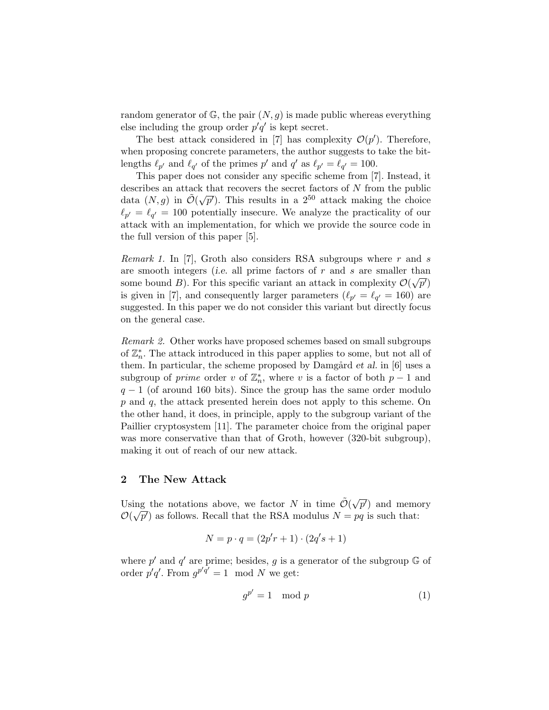random generator of  $\mathbb{G}$ , the pair  $(N, g)$  is made public whereas everything else including the group order  $p'q'$  is kept secret.

The best attack considered in [7] has complexity  $\mathcal{O}(p')$ . Therefore, when proposing concrete parameters, the author suggests to take the bitlengths  $\ell_{p'}$  and  $\ell_{q'}$  of the primes p' and q' as  $\ell_{p'} = \ell_{q'} = 100$ .

This paper does not consider any specific scheme from [7]. Instead, it describes an attack that recovers the secret factors of  $N$  from the public data  $(N, g)$  in  $\tilde{\mathcal{O}}(\sqrt{g})$  $\overline{p'}$ ). This results in a 2<sup>50</sup> attack making the choice  $\ell_{p'} = \ell_{q'} = 100$  potentially insecure. We analyze the practicality of our attack with an implementation, for which we provide the source code in the full version of this paper [5].

*Remark 1.* In [7], Groth also considers RSA subgroups where  $r$  and  $s$ are smooth integers (i.e. all prime factors of r and s are smaller than some bound B). For this specific variant an attack in complexity  $\mathcal{O}(\sqrt{p'})$ is given in [7], and consequently larger parameters ( $\ell_{p'} = \ell_{q'} = 160$ ) are suggested. In this paper we do not consider this variant but directly focus on the general case.

Remark 2. Other works have proposed schemes based on small subgroups of  $\mathbb{Z}_n^*$ . The attack introduced in this paper applies to some, but not all of them. In particular, the scheme proposed by Damgård  $et$  al. in [6] uses a subgroup of *prime* order v of  $\mathbb{Z}_n^*$ , where v is a factor of both  $p-1$  and  $q-1$  (of around 160 bits). Since the group has the same order modulo  $p$  and  $q$ , the attack presented herein does not apply to this scheme. On the other hand, it does, in principle, apply to the subgroup variant of the Paillier cryptosystem [11]. The parameter choice from the original paper was more conservative than that of Groth, however  $(320$ -bit subgroup), making it out of reach of our new attack.

## 2 The New Attack

Using the notations above, we factor N in time  $\tilde{\mathcal{O}}(\sqrt{\epsilon})$ ing the notations above, we factor N in time  $\tilde{\mathcal{O}}(\sqrt{p'})$  and memory  $\mathcal{O}(\sqrt{p'})$  as follows. Recall that the RSA modulus  $N = pq$  is such that:

$$
N = p \cdot q = (2p'r + 1) \cdot (2q's + 1)
$$

where  $p'$  and  $q'$  are prime; besides, g is a generator of the subgroup  $\mathbb{G}$  of order  $p'q'$ . From  $g^{p'q'} = 1 \mod N$  we get:

$$
g^{p'} = 1 \mod p \tag{1}
$$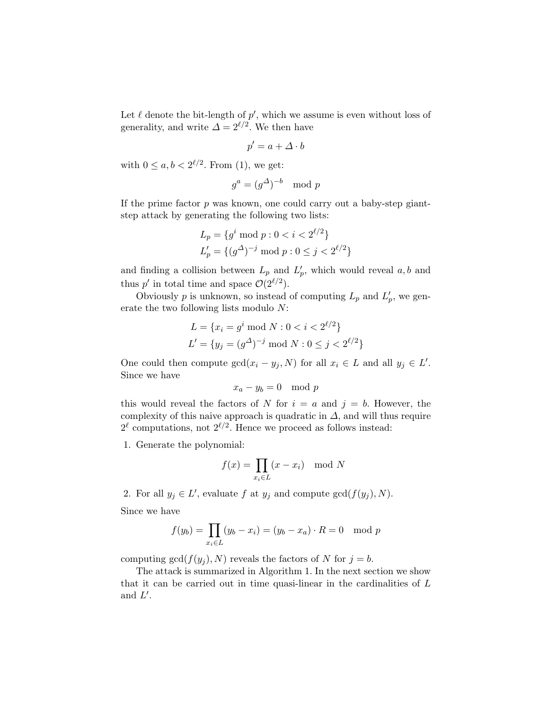Let  $\ell$  denote the bit-length of  $p'$ , which we assume is even without loss of generality, and write  $\Delta = 2^{\ell/2}$ . We then have

$$
p' = a + \Delta \cdot b
$$

with  $0 \leq a, b < 2^{\ell/2}$ . From (1), we get:

$$
g^a = (g^{\Delta})^{-b} \mod p
$$

If the prime factor  $p$  was known, one could carry out a baby-step giantstep attack by generating the following two lists:

$$
L_p = \{g^i \bmod p : 0 < i < 2^{\ell/2}\}
$$
\n
$$
L'_p = \{(g^\Delta)^{-j} \bmod p : 0 \le j < 2^{\ell/2}\}
$$

and finding a collision between  $L_p$  and  $L'_p$ , which would reveal  $a, b$  and thus p' in total time and space  $\mathcal{O}(2^{\ell/2})$ .

Obviously p is unknown, so instead of computing  $L_p$  and  $L'_p$ , we generate the two following lists modulo N:

$$
L = \{x_i = g^i \text{ mod } N : 0 < i < 2^{\ell/2}\}
$$
\n
$$
L' = \{y_j = (g^\Delta)^{-j} \text{ mod } N : 0 \le j < 2^{\ell/2}\}
$$

One could then compute  $gcd(x_i - y_j, N)$  for all  $x_i \in L$  and all  $y_j \in L'$ . Since we have

$$
x_a - y_b = 0 \mod p
$$

this would reveal the factors of N for  $i = a$  and  $j = b$ . However, the complexity of this naive approach is quadratic in  $\Delta$ , and will thus require  $2^{\ell}$  computations, not  $2^{\ell/2}$ . Hence we proceed as follows instead:

1. Generate the polynomial:

$$
f(x) = \prod_{x_i \in L} (x - x_i) \mod N
$$

2. For all  $y_j \in L'$ , evaluate f at  $y_j$  and compute  $gcd(f(y_j), N)$ .

Since we have

$$
f(y_b) = \prod_{x_i \in L} (y_b - x_i) = (y_b - x_a) \cdot R = 0 \mod p
$$

computing  $gcd(f(y_i), N)$  reveals the factors of N for  $j = b$ .

The attack is summarized in Algorithm 1. In the next section we show that it can be carried out in time quasi-linear in the cardinalities of  $L$ and  $L'$ .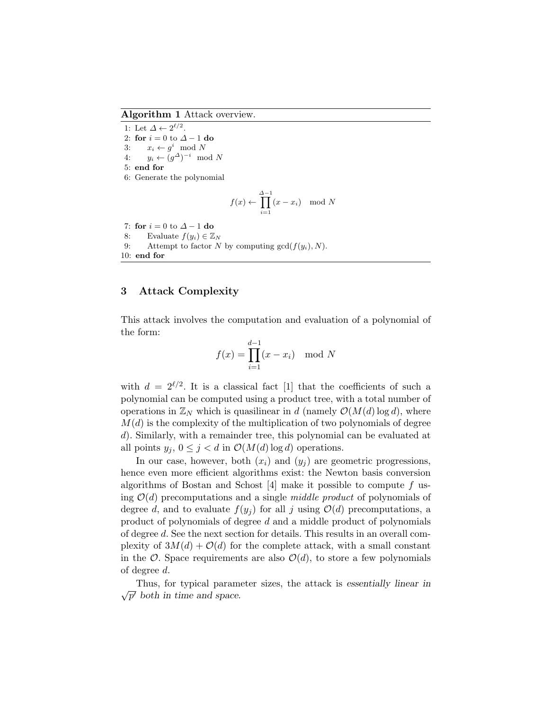Algorithm 1 Attack overview.

1: Let  $\Delta \leftarrow 2^{\ell/2}$ . 2: for  $i = 0$  to  $\Delta - 1$  do 3:  $x_i \leftarrow g^i \mod N$ 4:  $y_i \leftarrow (g^{\Delta})^{-i} \mod N$ 5: end for 6: Generate the polynomial

$$
f(x) \leftarrow \prod_{i=1}^{\Delta - 1} (x - x_i) \mod N
$$

7: for  $i = 0$  to  $\Delta - 1$  do 8: Evaluate  $f(y_i) \in \mathbb{Z}_N$ 9: Attempt to factor N by computing  $gcd(f(y_i), N)$ . 10: end for

## 3 Attack Complexity

This attack involves the computation and evaluation of a polynomial of the form:

$$
f(x) = \prod_{i=1}^{d-1} (x - x_i) \mod N
$$

with  $d = 2^{\ell/2}$ . It is a classical fact [1] that the coefficients of such a polynomial can be computed using a product tree, with a total number of operations in  $\mathbb{Z}_N$  which is quasilinear in d (namely  $\mathcal{O}(M(d) \log d)$ , where  $M(d)$  is the complexity of the multiplication of two polynomials of degree d). Similarly, with a remainder tree, this polynomial can be evaluated at all points  $y_j$ ,  $0 \leq j < d$  in  $\mathcal{O}(M(d) \log d)$  operations.

In our case, however, both  $(x_i)$  and  $(y_i)$  are geometric progressions, hence even more efficient algorithms exist: the Newton basis conversion algorithms of Bostan and Schost  $[4]$  make it possible to compute f using  $\mathcal{O}(d)$  precomputations and a single *middle product* of polynomials of degree d, and to evaluate  $f(y_i)$  for all j using  $\mathcal{O}(d)$  precomputations, a product of polynomials of degree d and a middle product of polynomials of degree d. See the next section for details. This results in an overall complexity of  $3M(d) + \mathcal{O}(d)$  for the complete attack, with a small constant in the  $\mathcal{O}$ . Space requirements are also  $\mathcal{O}(d)$ , to store a few polynomials of degree d.

Thus, for typical parameter sizes, the attack is essentially linear in √  $\overline{p'}$  both in time and space.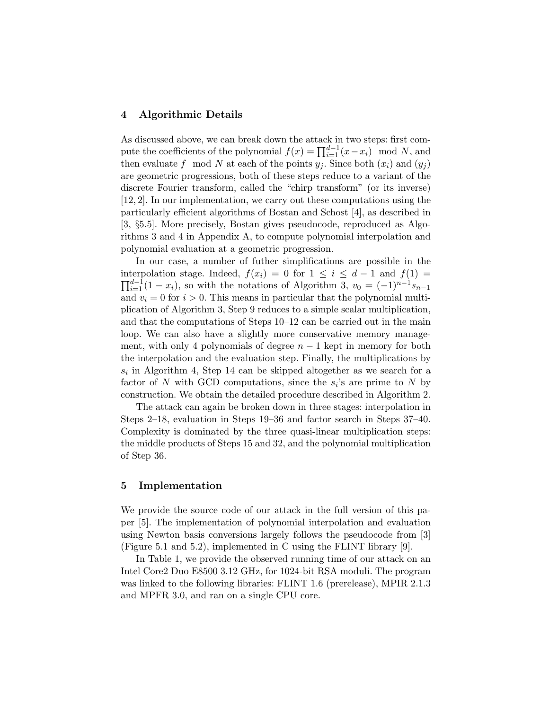#### 4 Algorithmic Details

As discussed above, we can break down the attack in two steps: first compute the coefficients of the polynomial  $f(x) = \prod_{i=1}^{d-1} (x - x_i) \mod N$ , and then evaluate f mod N at each of the points  $y_i$ . Since both  $(x_i)$  and  $(y_i)$ are geometric progressions, both of these steps reduce to a variant of the discrete Fourier transform, called the "chirp transform" (or its inverse) [12, 2]. In our implementation, we carry out these computations using the particularly efficient algorithms of Bostan and Schost [4], as described in [3, §5.5]. More precisely, Bostan gives pseudocode, reproduced as Algorithms 3 and 4 in Appendix A, to compute polynomial interpolation and polynomial evaluation at a geometric progression.

In our case, a number of futher simplifications are possible in the interpolation stage. Indeed,  $f(x_i) = 0$  for  $1 \leq i \leq d-1$  and  $f(1) =$  $\prod_{i=1}^{d-1}(1-x_i)$ , so with the notations of Algorithm 3,  $v_0 = (-1)^{n-1}s_{n-1}$ and  $v_i = 0$  for  $i > 0$ . This means in particular that the polynomial multiplication of Algorithm 3, Step 9 reduces to a simple scalar multiplication, and that the computations of Steps 10–12 can be carried out in the main loop. We can also have a slightly more conservative memory management, with only 4 polynomials of degree  $n-1$  kept in memory for both the interpolation and the evaluation step. Finally, the multiplications by  $s_i$  in Algorithm 4, Step 14 can be skipped altogether as we search for a factor of N with GCD computations, since the  $s_i$ 's are prime to N by construction. We obtain the detailed procedure described in Algorithm 2.

The attack can again be broken down in three stages: interpolation in Steps 2–18, evaluation in Steps 19–36 and factor search in Steps 37–40. Complexity is dominated by the three quasi-linear multiplication steps: the middle products of Steps 15 and 32, and the polynomial multiplication of Step 36.

#### 5 Implementation

We provide the source code of our attack in the full version of this paper [5]. The implementation of polynomial interpolation and evaluation using Newton basis conversions largely follows the pseudocode from [3] (Figure 5.1 and 5.2), implemented in C using the FLINT library [9].

In Table 1, we provide the observed running time of our attack on an Intel Core2 Duo E8500 3.12 GHz, for 1024-bit RSA moduli. The program was linked to the following libraries: FLINT 1.6 (prerelease), MPIR 2.1.3 and MPFR 3.0, and ran on a single CPU core.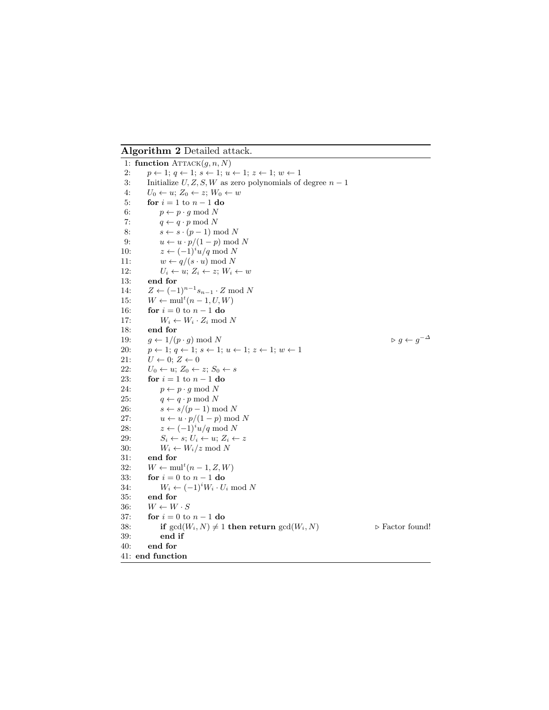Algorithm 2 Detailed attack.

1: function  $\text{ATTACK}(q, n, N)$ 2:  $p \leftarrow 1; q \leftarrow 1; s \leftarrow 1; u \leftarrow 1; z \leftarrow 1; w \leftarrow 1$ 3: Initialize  $U, Z, S, W$  as zero polynomials of degree  $n - 1$ 4:  $U_0 \leftarrow u; Z_0 \leftarrow z; W_0 \leftarrow w$ 5: for  $i = 1$  to  $n - 1$  do 6:  $p \leftarrow p \cdot g \mod N$ 7:  $q \leftarrow q \cdot p \mod N$ 8:  $s \leftarrow s \cdot (p-1) \mod N$ 9:  $u \leftarrow u \cdot p/(1-p) \mod N$ 10:  $z \leftarrow (-1)^i u/q \mod N$ 11:  $w \leftarrow q/(s \cdot u) \mod N$ 12:  $U_i \leftarrow u; Z_i \leftarrow z; W_i \leftarrow w$ 13: end for 14:  $Z \leftarrow (-1)^{n-1} s_{n-1} \cdot Z \mod N$ 15:  $W \leftarrow \text{mul}^t(n-1, U, W)$ 16: **for**  $i = 0$  to  $n - 1$  **do** 17:  $W_i \leftarrow W_i \cdot Z_i \mod N$ 18: end for 19:  $g \leftarrow 1/(p \cdot g) \text{ mod } N$  $\triangleright g \leftarrow g^{-\Delta}$ 20:  $p \leftarrow 1; q \leftarrow 1; s \leftarrow 1; u \leftarrow 1; z \leftarrow 1; w \leftarrow 1$ 21:  $U \leftarrow 0; Z \leftarrow 0$ 22:  $U_0 \leftarrow u; Z_0 \leftarrow z; S_0 \leftarrow s$ 23: **for**  $i = 1$  to  $n - 1$  **do** 24:  $p \leftarrow p \cdot g \mod N$ 25:  $q \leftarrow q \cdot p \mod N$ 26:  $s \leftarrow s/(p-1) \text{ mod } N$ 27:  $u \leftarrow u \cdot p/(1-p) \text{ mod } N$ 28:  $z \leftarrow (-1)^i u/q \mod N$ 29:  $S_i \leftarrow s; U_i \leftarrow u; Z_i \leftarrow z$ 30:  $W_i \leftarrow W_i/z \mod N$ 31: end for 32:  $W \leftarrow \text{mul}^t(n-1, Z, W)$ 33: **for**  $i = 0$  to  $n - 1$  **do** 34:  $W_i \leftarrow (-1)^i W_i \cdot U_i \text{ mod } N$ 35: end for 36:  $W \leftarrow W \cdot S$ <br>37: **for**  $i = 0$  to for  $i = 0$  to  $n - 1$  do 38: if  $gcd(W_i, N) \neq 1$  then return  $gcd(W_i, N)$   $\triangleright$  Factor found! 39: end if 40: end for 41: end function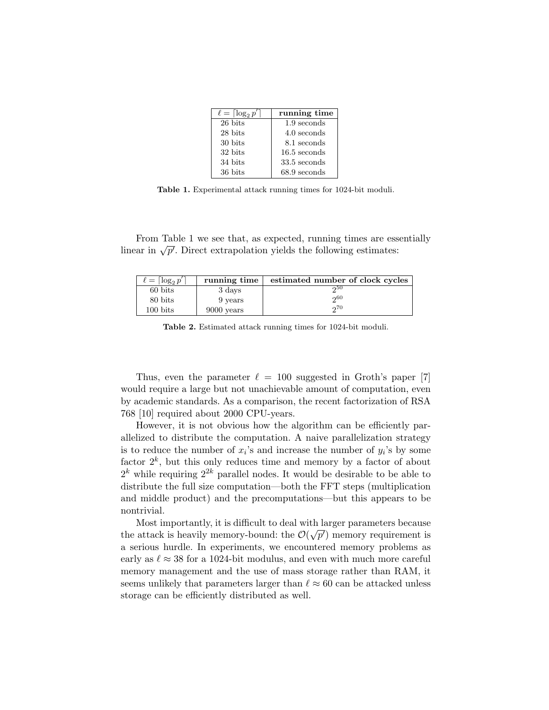| $\ell = \lceil \log_2 p' \rceil$ | running time   |
|----------------------------------|----------------|
| 26 bits                          | 1.9 seconds    |
| 28 bits                          | 4.0 seconds    |
| 30 bits                          | 8.1 seconds    |
| 32 bits                          | $16.5$ seconds |
| 34 bits                          | 33.5 seconds   |
| 36 bits                          | $68.9$ seconds |

Table 1. Experimental attack running times for 1024-bit moduli.

From Table 1 we see that, as expected, running times are essentially From Table 1 we see that, as expected, running times are ess<br>linear in  $\sqrt{p'}$ . Direct extrapolation yields the following estimates:

| $\ell = \lceil \log_2 p' \rceil$ | running time | estimated number of clock cycles |
|----------------------------------|--------------|----------------------------------|
| 60 bits                          | 3 days       | ინს                              |
| 80 bits                          | 9 years      | 00 <sub>0</sub>                  |
| $100 \text{ bits}$               | 9000 years   | 0.70                             |

Table 2. Estimated attack running times for 1024-bit moduli.

Thus, even the parameter  $\ell = 100$  suggested in Groth's paper [7] would require a large but not unachievable amount of computation, even by academic standards. As a comparison, the recent factorization of RSA 768 [10] required about 2000 CPU-years.

However, it is not obvious how the algorithm can be efficiently parallelized to distribute the computation. A naive parallelization strategy is to reduce the number of  $x_i$ 's and increase the number of  $y_i$ 's by some factor  $2^k$ , but this only reduces time and memory by a factor of about  $2<sup>k</sup>$  while requiring  $2<sup>2k</sup>$  parallel nodes. It would be desirable to be able to distribute the full size computation—both the FFT steps (multiplication and middle product) and the precomputations—but this appears to be nontrivial.

Most importantly, it is difficult to deal with larger parameters because the attack is heavily memory-bound: the  $\mathcal{O}(\sqrt{p'})$  memory requirement is a serious hurdle. In experiments, we encountered memory problems as early as  $\ell \approx 38$  for a 1024-bit modulus, and even with much more careful memory management and the use of mass storage rather than RAM, it seems unlikely that parameters larger than  $\ell \approx 60$  can be attacked unless storage can be efficiently distributed as well.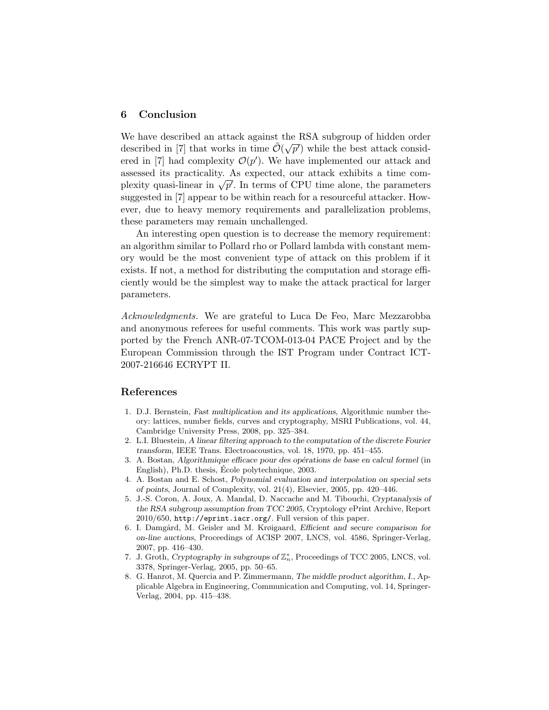## 6 Conclusion

We have described an attack against the RSA subgroup of hidden order described in [7] that works in time  $\tilde{\mathcal{O}}(\sqrt{p'})$  while the best attack considered in [7] had complexity  $\mathcal{O}(p')$ . We have implemented our attack and assessed its practicality. As expected, our attack exhibits a time comassessed its practicality. As expected, our attack exhibits a time com-<br>plexity quasi-linear in  $\sqrt{p'}$ . In terms of CPU time alone, the parameters suggested in [7] appear to be within reach for a resourceful attacker. However, due to heavy memory requirements and parallelization problems, these parameters may remain unchallenged.

An interesting open question is to decrease the memory requirement: an algorithm similar to Pollard rho or Pollard lambda with constant memory would be the most convenient type of attack on this problem if it exists. If not, a method for distributing the computation and storage efficiently would be the simplest way to make the attack practical for larger parameters.

Acknowledgments. We are grateful to Luca De Feo, Marc Mezzarobba and anonymous referees for useful comments. This work was partly supported by the French ANR-07-TCOM-013-04 PACE Project and by the European Commission through the IST Program under Contract ICT-2007-216646 ECRYPT II.

#### References

- 1. D.J. Bernstein, Fast multiplication and its applications, Algorithmic number theory: lattices, number fields, curves and cryptography, MSRI Publications, vol. 44, Cambridge University Press, 2008, pp. 325–384.
- 2. L.I. Bluestein, A linear filtering approach to the computation of the discrete Fourier transform, IEEE Trans. Electroacoustics, vol. 18, 1970, pp. 451–455.
- 3. A. Bostan, Algorithmique efficace pour des opérations de base en calcul formel (in English), Ph.D. thesis, Ecole polytechnique, 2003.
- 4. A. Bostan and E. Schost, Polynomial evaluation and interpolation on special sets of points, Journal of Complexity, vol. 21(4), Elsevier, 2005, pp. 420–446.
- 5. J.-S. Coron, A. Joux, A. Mandal, D. Naccache and M. Tibouchi, Cryptanalysis of the RSA subgroup assumption from TCC 2005, Cryptology ePrint Archive, Report 2010/650, http://eprint.iacr.org/. Full version of this paper.
- 6. I. Damgård, M. Geisler and M. Krøigaard, Efficient and secure comparison for on-line auctions, Proceedings of ACISP 2007, LNCS, vol. 4586, Springer-Verlag, 2007, pp. 416–430.
- 7. J. Groth, Cryptography in subgroups of  $\mathbb{Z}_n^*$ , Proceedings of TCC 2005, LNCS, vol. 3378, Springer-Verlag, 2005, pp. 50–65.
- 8. G. Hanrot, M. Quercia and P. Zimmermann, The middle product algorithm, I., Applicable Algebra in Engineering, Communication and Computing, vol. 14, Springer-Verlag, 2004, pp. 415–438.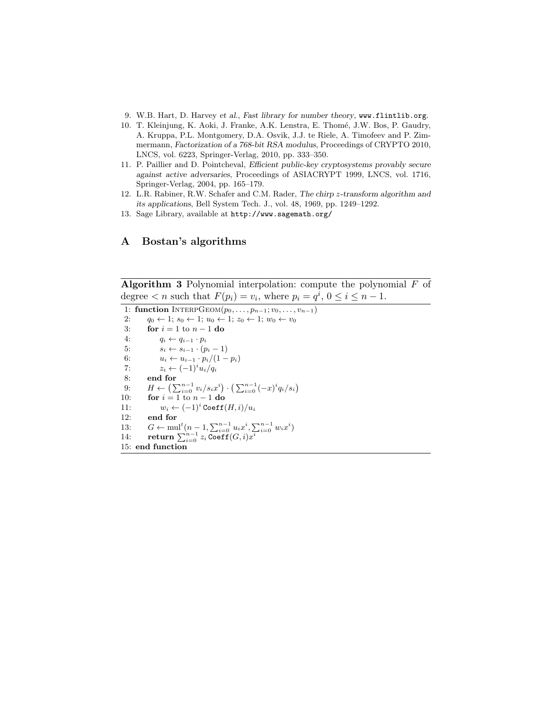- 9. W.B. Hart, D. Harvey et al., Fast library for number theory, www.flintlib.org.
- 10. T. Kleinjung, K. Aoki, J. Franke, A.K. Lenstra, E. Thom´e, J.W. Bos, P. Gaudry, A. Kruppa, P.L. Montgomery, D.A. Osvik, J.J. te Riele, A. Timofeev and P. Zimmermann, Factorization of a 768-bit RSA modulus, Proceedings of CRYPTO 2010, LNCS, vol. 6223, Springer-Verlag, 2010, pp. 333–350.
- 11. P. Paillier and D. Pointcheval, Efficient public-key cryptosystems provably secure against active adversaries, Proceedings of ASIACRYPT 1999, LNCS, vol. 1716, Springer-Verlag, 2004, pp. 165–179.
- 12. L.R. Rabiner, R.W. Schafer and C.M. Rader, The chirp z-transform algorithm and its applications, Bell System Tech. J., vol. 48, 1969, pp. 1249–1292.
- 13. Sage Library, available at http://www.sagemath.org/

## A Bostan's algorithms

**Algorithm 3** Polynomial interpolation: compute the polynomial  $F$  of degree  $\lt n$  such that  $F(p_i) = v_i$ , where  $p_i = q^i$ ,  $0 \le i \le n - 1$ .

```
1: function INTERPGEOM(p_0, \ldots, p_{n-1}; v_0, \ldots, v_{n-1})2: q_0 \leftarrow 1; s_0 \leftarrow 1; u_0 \leftarrow 1; z_0 \leftarrow 1; w_0 \leftarrow v_03: for i = 1 to n - 1 do
 4: q_i \leftarrow q_{i-1} \cdot p_i5: s_i \leftarrow s_{i-1} \cdot (p_i - 1)6: u_i \leftarrow u_{i-1} \cdot p_i/(1-p_i)7: z_i \leftarrow (-1)^i u_i / q_i8: end for
 9: H \leftarrow (\sum_{i=0}^{n-1} v_i/s_i x^i) \cdot (\sum_{i=0}^{n-1} (-x)^i q_i/s_i)10: for i = 1 to n - 1 do
11: w_i \leftarrow (-1)^i \text{Coeff}(H, i) / u_i12: end for
13: G \leftarrow \text{mul}^t (n-1, \sum_{i=0}^{n-1} u_i x^i, \sum_{i=0}^{n-1} w_i x^i)14: return \sum_{i=0}^{n-1} z_i \overline{\text{Coeff}}(G,i) x_i^{\overline{i}}15: end function
```